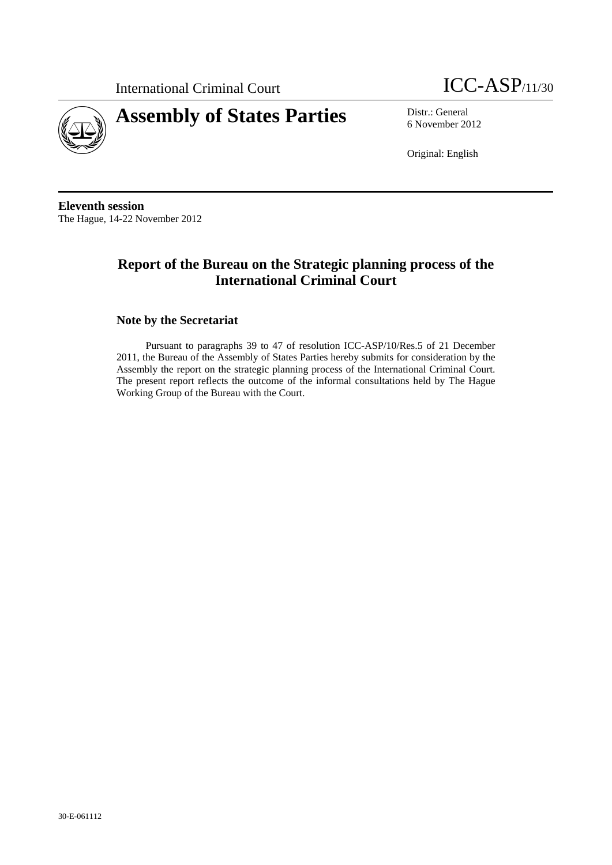



6 November 2012

Original: English

**Eleventh session**  The Hague, 14-22 November 2012

# **Report of the Bureau on the Strategic planning process of the International Criminal Court**

### **Note by the Secretariat**

Pursuant to paragraphs 39 to 47 of resolution ICC-ASP/10/Res.5 of 21 December 2011, the Bureau of the Assembly of States Parties hereby submits for consideration by the Assembly the report on the strategic planning process of the International Criminal Court. The present report reflects the outcome of the informal consultations held by The Hague Working Group of the Bureau with the Court.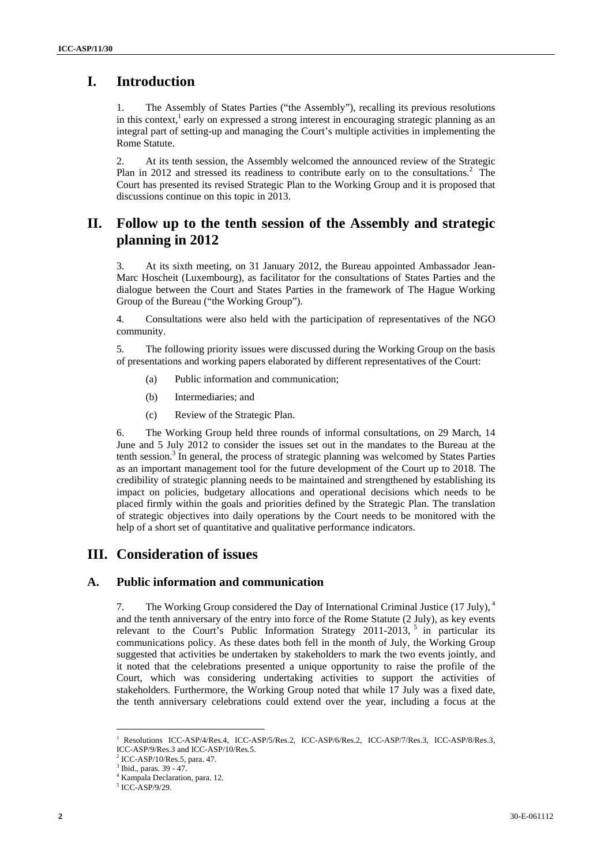## **I. Introduction**

1. The Assembly of States Parties ("the Assembly"), recalling its previous resolutions in this context,<sup>1</sup> early on expressed a strong interest in encouraging strategic planning as an integral part of setting-up and managing the Court's multiple activities in implementing the Rome Statute.

2. At its tenth session, the Assembly welcomed the announced review of the Strategic Plan in 2012 and stressed its readiness to contribute early on to the consultations.<sup>2</sup> The Court has presented its revised Strategic Plan to the Working Group and it is proposed that discussions continue on this topic in 2013.

## **II. Follow up to the tenth session of the Assembly and strategic planning in 2012**

3. At its sixth meeting, on 31 January 2012, the Bureau appointed Ambassador Jean-Marc Hoscheit (Luxembourg), as facilitator for the consultations of States Parties and the dialogue between the Court and States Parties in the framework of The Hague Working Group of the Bureau ("the Working Group").

4. Consultations were also held with the participation of representatives of the NGO community.

5. The following priority issues were discussed during the Working Group on the basis of presentations and working papers elaborated by different representatives of the Court:

- (a) Public information and communication;
- (b) Intermediaries; and
- (c) Review of the Strategic Plan.

6. The Working Group held three rounds of informal consultations, on 29 March, 14 June and 5 July 2012 to consider the issues set out in the mandates to the Bureau at the tenth session.<sup>3</sup> In general, the process of strategic planning was welcomed by States Parties as an important management tool for the future development of the Court up to 2018. The credibility of strategic planning needs to be maintained and strengthened by establishing its impact on policies, budgetary allocations and operational decisions which needs to be placed firmly within the goals and priorities defined by the Strategic Plan. The translation of strategic objectives into daily operations by the Court needs to be monitored with the help of a short set of quantitative and qualitative performance indicators.

## **III. Consideration of issues**

### **A. Public information and communication**

7. The Working Group considered the Day of International Criminal Justice (17 July), <sup>4</sup> and the tenth anniversary of the entry into force of the Rome Statute (2 July), as key events relevant to the Court's Public Information Strategy 2011-2013,  $5 \text{ in}$  particular its communications policy. As these dates both fell in the month of July, the Working Group suggested that activities be undertaken by stakeholders to mark the two events jointly, and it noted that the celebrations presented a unique opportunity to raise the profile of the Court, which was considering undertaking activities to support the activities of stakeholders. Furthermore, the Working Group noted that while 17 July was a fixed date, the tenth anniversary celebrations could extend over the year, including a focus at the

 1 Resolutions ICC-ASP/4/Res.4, ICC-ASP/5/Res.2, ICC-ASP/6/Res.2, ICC-ASP/7/Res.3, ICC-ASP/8/Res.3, ICC-ASP/9/Res.3 and ICC-ASP/10/Res.5.

<sup>2</sup> ICC-ASP/10/Res.5, para. 47.

 $^3$  Ibid., paras. 39 - 47. Kampala Declaration, para. 12.

<sup>5</sup> ICC-ASP/9/29.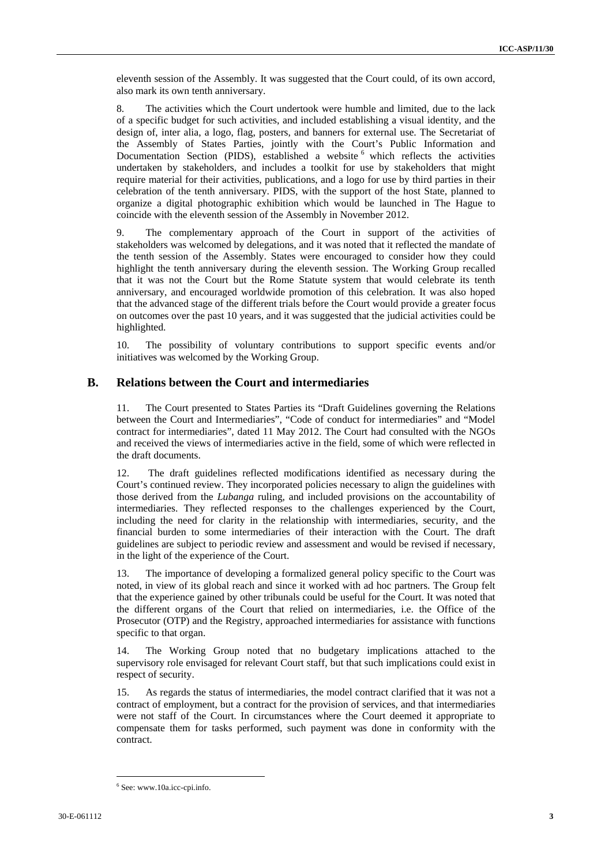eleventh session of the Assembly. It was suggested that the Court could, of its own accord, also mark its own tenth anniversary.

8. The activities which the Court undertook were humble and limited, due to the lack of a specific budget for such activities, and included establishing a visual identity, and the design of, inter alia, a logo, flag, posters, and banners for external use. The Secretariat of the Assembly of States Parties, jointly with the Court's Public Information and Documentation Section (PIDS), established a website <sup>6</sup> which reflects the activities undertaken by stakeholders, and includes a toolkit for use by stakeholders that might require material for their activities, publications, and a logo for use by third parties in their celebration of the tenth anniversary. PIDS, with the support of the host State, planned to organize a digital photographic exhibition which would be launched in The Hague to coincide with the eleventh session of the Assembly in November 2012.

9. The complementary approach of the Court in support of the activities of stakeholders was welcomed by delegations, and it was noted that it reflected the mandate of the tenth session of the Assembly. States were encouraged to consider how they could highlight the tenth anniversary during the eleventh session. The Working Group recalled that it was not the Court but the Rome Statute system that would celebrate its tenth anniversary, and encouraged worldwide promotion of this celebration. It was also hoped that the advanced stage of the different trials before the Court would provide a greater focus on outcomes over the past 10 years, and it was suggested that the judicial activities could be highlighted.

10. The possibility of voluntary contributions to support specific events and/or initiatives was welcomed by the Working Group.

#### **B. Relations between the Court and intermediaries**

11. The Court presented to States Parties its "Draft Guidelines governing the Relations between the Court and Intermediaries", "Code of conduct for intermediaries" and "Model contract for intermediaries", dated 11 May 2012. The Court had consulted with the NGOs and received the views of intermediaries active in the field, some of which were reflected in the draft documents.

12. The draft guidelines reflected modifications identified as necessary during the Court's continued review. They incorporated policies necessary to align the guidelines with those derived from the *Lubanga* ruling, and included provisions on the accountability of intermediaries. They reflected responses to the challenges experienced by the Court, including the need for clarity in the relationship with intermediaries, security, and the financial burden to some intermediaries of their interaction with the Court. The draft guidelines are subject to periodic review and assessment and would be revised if necessary, in the light of the experience of the Court.

13. The importance of developing a formalized general policy specific to the Court was noted, in view of its global reach and since it worked with ad hoc partners. The Group felt that the experience gained by other tribunals could be useful for the Court. It was noted that the different organs of the Court that relied on intermediaries, i.e. the Office of the Prosecutor (OTP) and the Registry, approached intermediaries for assistance with functions specific to that organ.

14. The Working Group noted that no budgetary implications attached to the supervisory role envisaged for relevant Court staff, but that such implications could exist in respect of security.

15. As regards the status of intermediaries, the model contract clarified that it was not a contract of employment, but a contract for the provision of services, and that intermediaries were not staff of the Court. In circumstances where the Court deemed it appropriate to compensate them for tasks performed, such payment was done in conformity with the contract.

<sup>6</sup> See: www.10a.icc-cpi.info.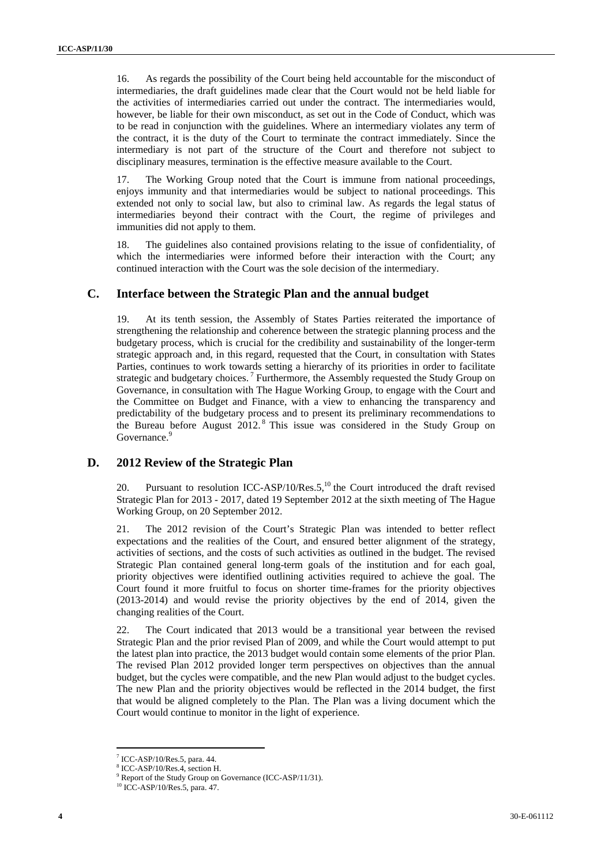16. As regards the possibility of the Court being held accountable for the misconduct of intermediaries, the draft guidelines made clear that the Court would not be held liable for the activities of intermediaries carried out under the contract. The intermediaries would, however, be liable for their own misconduct, as set out in the Code of Conduct, which was to be read in conjunction with the guidelines. Where an intermediary violates any term of the contract, it is the duty of the Court to terminate the contract immediately. Since the intermediary is not part of the structure of the Court and therefore not subject to disciplinary measures, termination is the effective measure available to the Court.

17. The Working Group noted that the Court is immune from national proceedings, enjoys immunity and that intermediaries would be subject to national proceedings. This extended not only to social law, but also to criminal law. As regards the legal status of intermediaries beyond their contract with the Court, the regime of privileges and immunities did not apply to them.

18. The guidelines also contained provisions relating to the issue of confidentiality, of which the intermediaries were informed before their interaction with the Court; any continued interaction with the Court was the sole decision of the intermediary.

#### **C. Interface between the Strategic Plan and the annual budget**

At its tenth session, the Assembly of States Parties reiterated the importance of strengthening the relationship and coherence between the strategic planning process and the budgetary process, which is crucial for the credibility and sustainability of the longer-term strategic approach and, in this regard, requested that the Court, in consultation with States Parties, continues to work towards setting a hierarchy of its priorities in order to facilitate strategic and budgetary choices.<sup>7</sup> Furthermore, the Assembly requested the Study Group on Governance, in consultation with The Hague Working Group, to engage with the Court and the Committee on Budget and Finance, with a view to enhancing the transparency and predictability of the budgetary process and to present its preliminary recommendations to the Bureau before August 2012. 8 This issue was considered in the Study Group on Governance.<sup>9</sup>

#### **D. 2012 Review of the Strategic Plan**

20. Pursuant to resolution ICC-ASP/10/Res.5, $^{10}$  the Court introduced the draft revised Strategic Plan for 2013 - 2017, dated 19 September 2012 at the sixth meeting of The Hague Working Group, on 20 September 2012.

21. The 2012 revision of the Court's Strategic Plan was intended to better reflect expectations and the realities of the Court, and ensured better alignment of the strategy, activities of sections, and the costs of such activities as outlined in the budget. The revised Strategic Plan contained general long-term goals of the institution and for each goal, priority objectives were identified outlining activities required to achieve the goal. The Court found it more fruitful to focus on shorter time-frames for the priority objectives (2013-2014) and would revise the priority objectives by the end of 2014, given the changing realities of the Court.

22. The Court indicated that 2013 would be a transitional year between the revised Strategic Plan and the prior revised Plan of 2009, and while the Court would attempt to put the latest plan into practice, the 2013 budget would contain some elements of the prior Plan. The revised Plan 2012 provided longer term perspectives on objectives than the annual budget, but the cycles were compatible, and the new Plan would adjust to the budget cycles. The new Plan and the priority objectives would be reflected in the 2014 budget, the first that would be aligned completely to the Plan. The Plan was a living document which the Court would continue to monitor in the light of experience.

<sup>7</sup> ICC-ASP/10/Res.5, para. 44.

<sup>8</sup> ICC-ASP/10/Res.4, section H.

<sup>&</sup>lt;sup>9</sup> Report of the Study Group on Governance (ICC-ASP/11/31).

<sup>10</sup> ICC-ASP/10/Res.5, para. 47.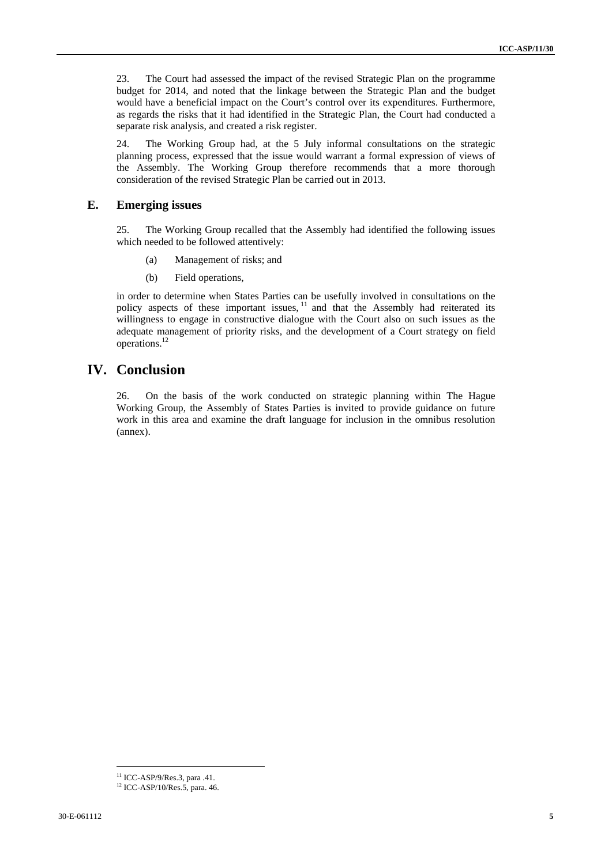23. The Court had assessed the impact of the revised Strategic Plan on the programme budget for 2014, and noted that the linkage between the Strategic Plan and the budget would have a beneficial impact on the Court's control over its expenditures. Furthermore, as regards the risks that it had identified in the Strategic Plan, the Court had conducted a separate risk analysis, and created a risk register.

24. The Working Group had, at the 5 July informal consultations on the strategic planning process, expressed that the issue would warrant a formal expression of views of the Assembly. The Working Group therefore recommends that a more thorough consideration of the revised Strategic Plan be carried out in 2013.

#### **E. Emerging issues**

25. The Working Group recalled that the Assembly had identified the following issues which needed to be followed attentively:

- (a) Management of risks; and
- (b) Field operations,

in order to determine when States Parties can be usefully involved in consultations on the policy aspects of these important issues,  $\frac{11}{11}$  and that the Assembly had reiterated its willingness to engage in constructive dialogue with the Court also on such issues as the adequate management of priority risks, and the development of a Court strategy on field operations.12

### **IV. Conclusion**

26. On the basis of the work conducted on strategic planning within The Hague Working Group, the Assembly of States Parties is invited to provide guidance on future work in this area and examine the draft language for inclusion in the omnibus resolution (annex).

 $11$  ICC-ASP/9/Res.3, para .41.

<sup>&</sup>lt;sup>12</sup> ICC-ASP/10/Res.5, para. 46.